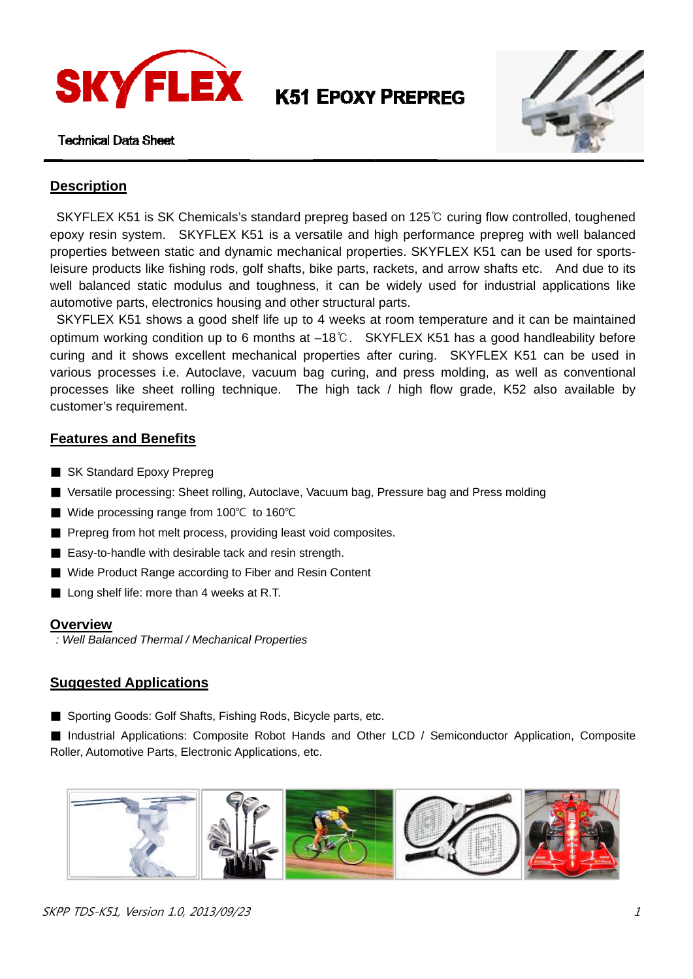



# **Description**

SKYFLEX K51 is SK Chemicals's standard prepreg based on 125℃ curing flow controlled, toughened epoxy resin system. SKYFLEX K51 is a versatile and high performance prepreg with well balanced properties between static and dynamic mechanical properties. SKYFLEX K51 can be used for sportsleisure products like fishing rods, golf shafts, bike parts, rackets, and arrow shafts etc. And due to its well balanced static modulus and toughness, it can be widely used for industrial applications like automotive parts, electronics housing and other structural parts.

SKYFLEX K51 shows a good shelf life up to 4 weeks at room temperature and it can be maintained optimum working condition up to 6 months at -18℃. SKYFLEX K51 has a good handleability before curing and it shows excellent mechanical properties after curing. SKYFLEX K51 can be used in various processes i.e. Autoclave, vacuum bag curing, and press molding, as well as conventional processes like sheet rolling technique. The high tack / high flow grade, K52 also available by customer's requirement.

### **Features and Benefits**

- SK Standard Epoxy Prepreg
- Versatile processing: Sheet rolling, Autoclave, Vacuum bag, Pressure bag and Press molding
- Wide processing range from  $100^{\circ}$ C to  $160^{\circ}$ C
- Prepreg from hot melt process, providing least void composites.
- Easy-to-handle with desirable tack and resin strength.
- Wide Product Range according to Fiber and Resin Content
- Long shelf life: more than 4 weeks at R.T.

### **Overview**

: Well Balanced Thermal / Mechanical Properties

## **Suggested Applications**

Sporting Goods: Golf Shafts, Fishing Rods, Bicycle parts, etc.

Industrial Applications: Composite Robot Hands and Other LCD / Semiconductor Application, Composite Roller, Automotive Parts, Electronic Applications, etc.

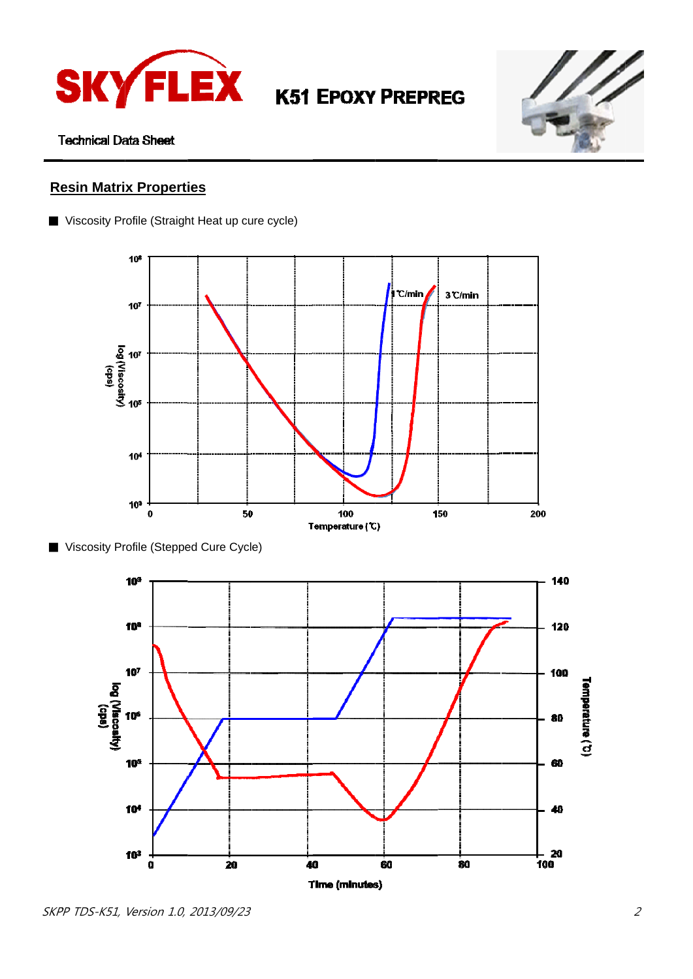



# **Resin Matrix Properties**

Viscosity Profile (Straight Heat up cure cycle)



Viscosity Profile (Stepped Cure Cycle)

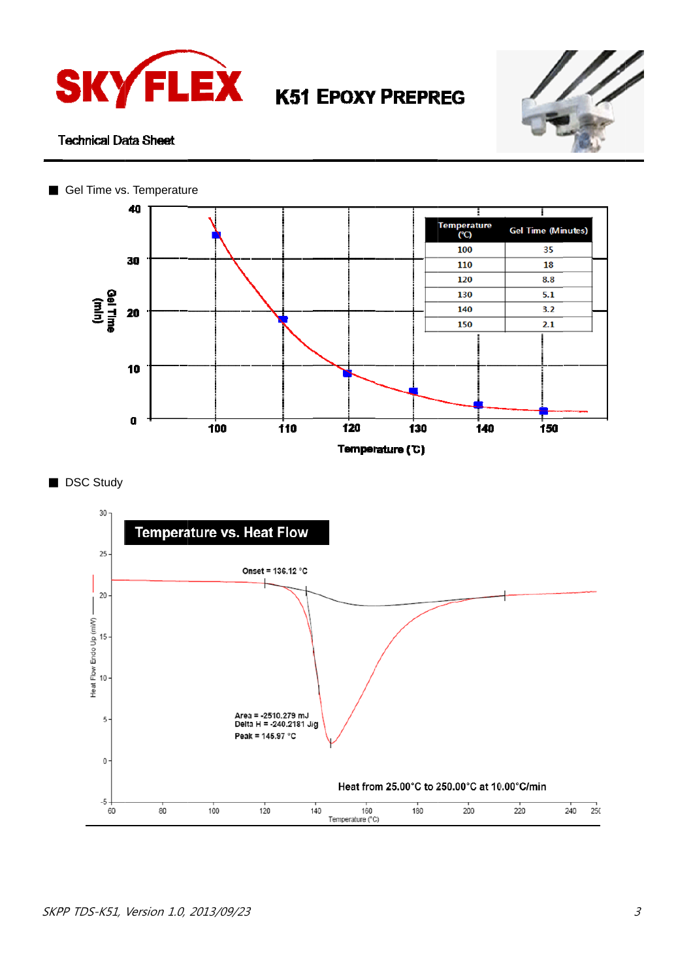





DSC Study

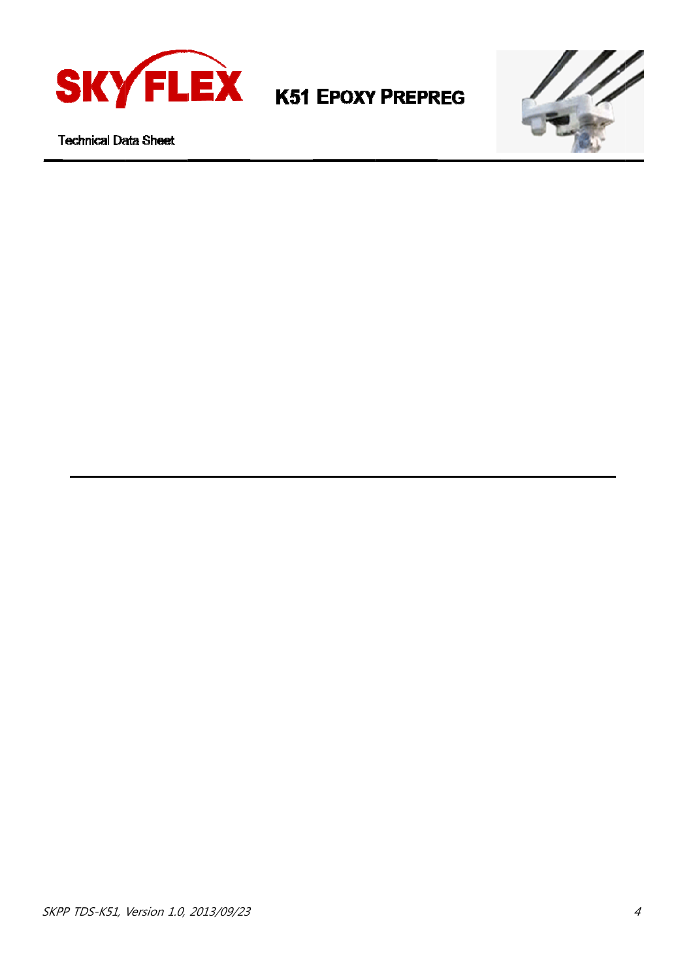

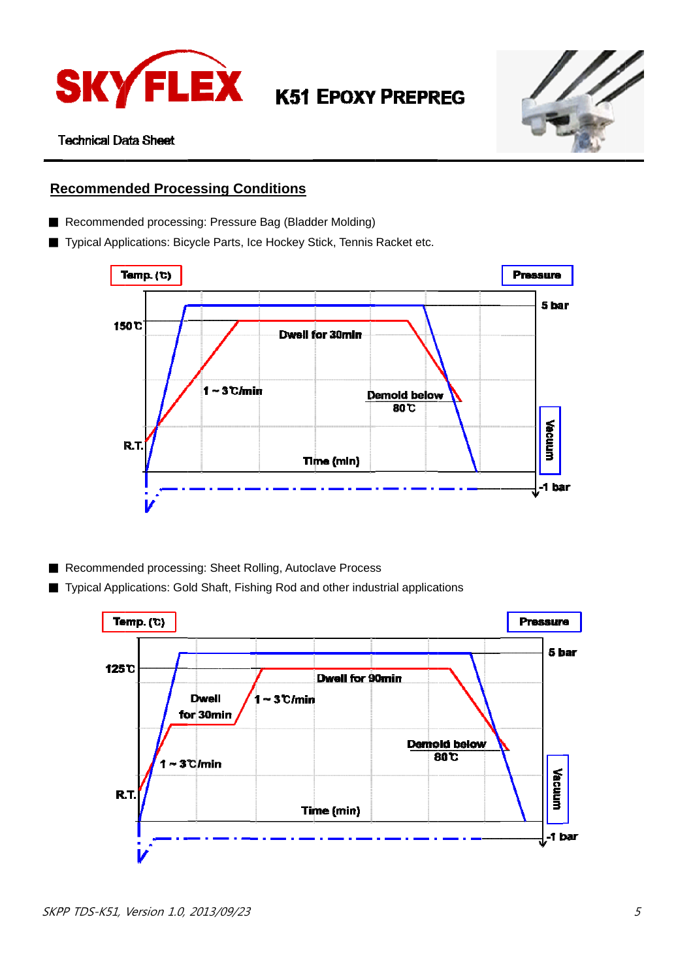



# **Recommended Processing Conditions**

- Recommended processing: Pressure Bag (Bladder Molding)
- Typical Applications: Bicycle Parts, Ice Hockey Stick, Tennis Racket etc.



- Recommended processing: Sheet Rolling, Autoclave Process
- Typical Applications: Gold Shaft, Fishing Rod and other industrial applications

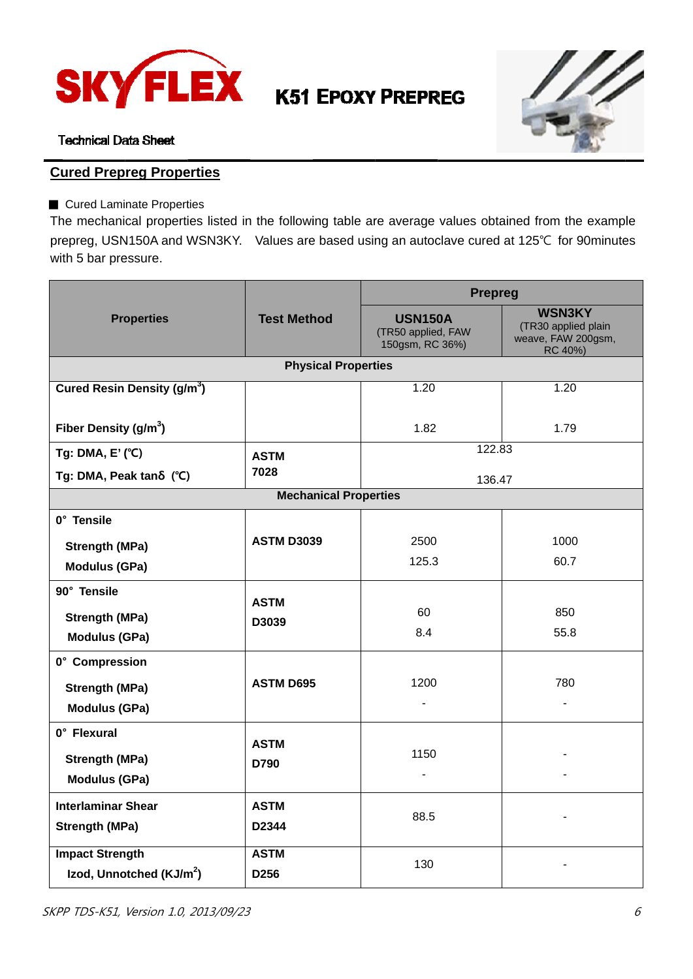



## **Cured Prepreg Properties**

## Cured Laminate Properties

The mechanical properties listed in the following table are average values obtained from the example prepreg, USN150A and WSN3KY. Values are based using an autoclave cured at 125℃ for 90minutes with 5 bar pressure.

| <b>Properties</b>                                              | <b>Test Method</b>   | <b>USN150A</b><br>(TR50 applied, FAW<br>150gsm, RC 36%) | <b>WSN3KY</b><br>(TR30 applied plain<br>weave, FAW 200gsm,<br>RC 40%) |  |  |  |  |  |  |  |
|----------------------------------------------------------------|----------------------|---------------------------------------------------------|-----------------------------------------------------------------------|--|--|--|--|--|--|--|
| <b>Physical Properties</b>                                     |                      |                                                         |                                                                       |  |  |  |  |  |  |  |
| Cured Resin Density (g/m <sup>3</sup> )                        |                      | 1.20                                                    | 1.20                                                                  |  |  |  |  |  |  |  |
| Fiber Density $(g/m^3)$                                        |                      | 1.82                                                    | 1.79                                                                  |  |  |  |  |  |  |  |
| Tg: DMA, $E'(C)$                                               | <b>ASTM</b>          | 122.83                                                  |                                                                       |  |  |  |  |  |  |  |
| Tg: DMA, Peak tanδ (°C)                                        | 7028                 | 136.47                                                  |                                                                       |  |  |  |  |  |  |  |
| <b>Mechanical Properties</b>                                   |                      |                                                         |                                                                       |  |  |  |  |  |  |  |
| 0° Tensile                                                     |                      |                                                         |                                                                       |  |  |  |  |  |  |  |
| <b>Strength (MPa)</b>                                          | <b>ASTM D3039</b>    | 2500                                                    | 1000                                                                  |  |  |  |  |  |  |  |
| <b>Modulus (GPa)</b>                                           |                      | 125.3                                                   | 60.7                                                                  |  |  |  |  |  |  |  |
| 90° Tensile                                                    |                      |                                                         |                                                                       |  |  |  |  |  |  |  |
| <b>Strength (MPa)</b>                                          | <b>ASTM</b><br>D3039 | 60                                                      | 850                                                                   |  |  |  |  |  |  |  |
| <b>Modulus (GPa)</b>                                           |                      | 8.4                                                     | 55.8                                                                  |  |  |  |  |  |  |  |
| 0° Compression                                                 |                      |                                                         |                                                                       |  |  |  |  |  |  |  |
| <b>Strength (MPa)</b>                                          | <b>ASTM D695</b>     | 1200                                                    | 780                                                                   |  |  |  |  |  |  |  |
| <b>Modulus (GPa)</b>                                           |                      |                                                         |                                                                       |  |  |  |  |  |  |  |
| 0° Flexural                                                    | <b>ASTM</b>          |                                                         |                                                                       |  |  |  |  |  |  |  |
| <b>Strength (MPa)</b>                                          | D790                 | 1150                                                    |                                                                       |  |  |  |  |  |  |  |
| <b>Modulus (GPa)</b>                                           |                      |                                                         |                                                                       |  |  |  |  |  |  |  |
| <b>Interlaminar Shear</b>                                      | <b>ASTM</b>          |                                                         |                                                                       |  |  |  |  |  |  |  |
| <b>Strength (MPa)</b>                                          | D2344                | 88.5                                                    |                                                                       |  |  |  |  |  |  |  |
| <b>Impact Strength</b><br>Izod, Unnotched (KJ/m <sup>2</sup> ) | <b>ASTM</b><br>D256  | 130                                                     |                                                                       |  |  |  |  |  |  |  |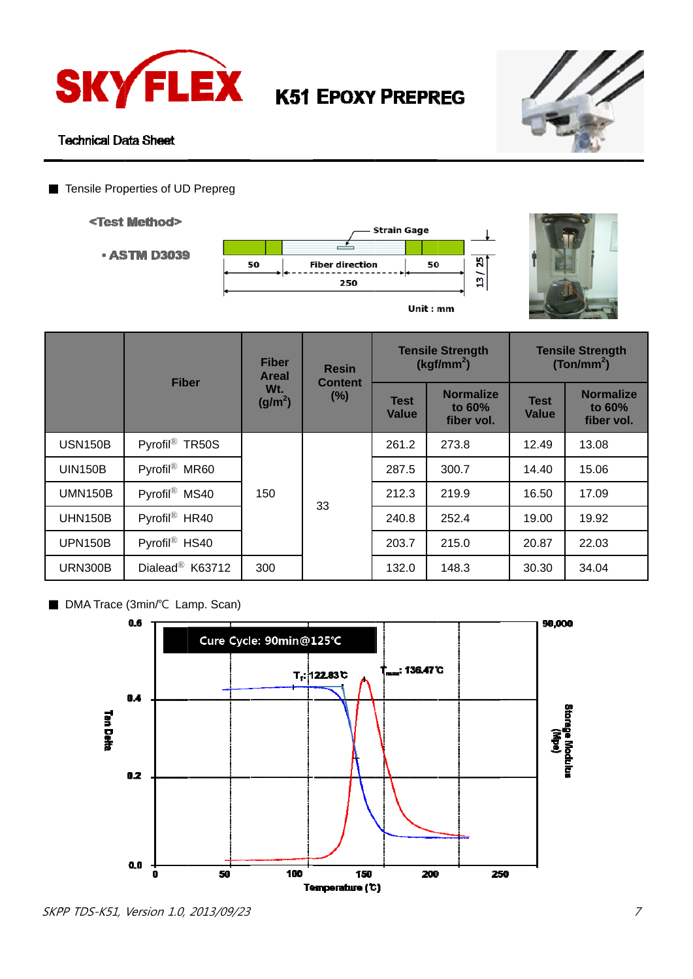



■ Tensile Properties of UD Prepreg

<Test Method>

**- ASTM D3039** 





|                |                                        | <b>Fiber</b><br><b>Areal</b> | <b>Resin</b>                | <b>Tensile Strength</b><br>(kgf/mm <sup>2</sup> ) |                      | <b>Tensile Strength</b><br>(Ton/mm <sup>2</sup> ) |       |
|----------------|----------------------------------------|------------------------------|-----------------------------|---------------------------------------------------|----------------------|---------------------------------------------------|-------|
| <b>Fiber</b>   | W <sub>t.</sub><br>(g/m <sup>2</sup> ) | <b>Content</b><br>(%)        | <b>Test</b><br><b>Value</b> | <b>Normalize</b><br>to $60%$<br>fiber vol.        | <b>Test</b><br>Value | <b>Normalize</b><br>to 60%<br>fiber vol.          |       |
| <b>USN150B</b> | Pyrofil <sup>®</sup> TR50S             | 150<br>300                   | 33                          | 261.2                                             | 273.8                | 12.49                                             | 13.08 |
| <b>UIN150B</b> | Pyrofil <sup>®</sup> MR60              |                              |                             | 287.5                                             | 300.7                | 14.40                                             | 15.06 |
| <b>UMN150B</b> | Pyrofil <sup>®</sup> MS40              |                              |                             | 212.3                                             | 219.9                | 16.50                                             | 17.09 |
| <b>UHN150B</b> | Pyrofil <sup>®</sup> HR40              |                              |                             | 240.8                                             | 252.4                | 19.00                                             | 19.92 |
| <b>UPN150B</b> | Pyrofil <sup>®</sup> HS40              |                              |                             | 203.7                                             | 215.0                | 20.87                                             | 22.03 |
| <b>URN300B</b> | Dialead <sup>®</sup> K63712            |                              |                             | 132.0                                             | 148.3                | 30.30                                             | 34.04 |

■ DMA Trace (3min/°C Lamp. Scan)